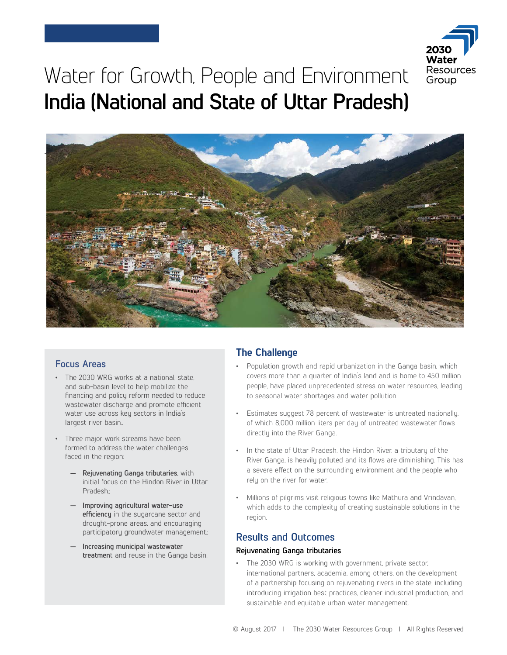

# Water for Growth, People and Environment **India (National and State of Uttar Pradesh)**



### **Focus Areas**

- The 2030 WRG works at a national, state, and sub-basin level to help mobilize the financing and policy reform needed to reduce wastewater discharge and promote efficient water use across key sectors in India's largest river basin..
- Three major work streams have been formed to address the water challenges faced in the region:
	- **— Rejuvenating Ganga tributaries**, with initial focus on the Hindon River in Uttar Pradesh.;
	- **— Improving agricultural water-use efficiency** in the sugarcane sector and drought-prone areas, and encouraging participatory groundwater management.;
	- **— Increasing municipal wastewater treatmen**t and reuse in the Ganga basin.

# **The Challenge**

- Population growth and rapid urbanization in the Ganga basin, which covers more than a quarter of India's land and is home to 450 million people, have placed unprecedented stress on water resources, leading to seasonal water shortages and water pollution.
- Estimates suggest 78 percent of wastewater is untreated nationally, of which 8,000 million liters per day of untreated wastewater flows directly into the River Ganga.
- In the state of Uttar Pradesh, the Hindon River, a tributary of the River Ganga, is heavily polluted and its flows are diminishing. This has a severe effect on the surrounding environment and the people who rely on the river for water.
- Millions of pilgrims visit religious towns like Mathura and Vrindavan, which adds to the complexity of creating sustainable solutions in the region.

# **Results and Outcomes**

#### **Rejuvenating Ganga tributaries**

• The 2030 WRG is working with government, private sector, international partners, academia, among others, on the development of a partnership focusing on rejuvenating rivers in the state, including introducing irrigation best practices, cleaner industrial production, and sustainable and equitable urban water management.